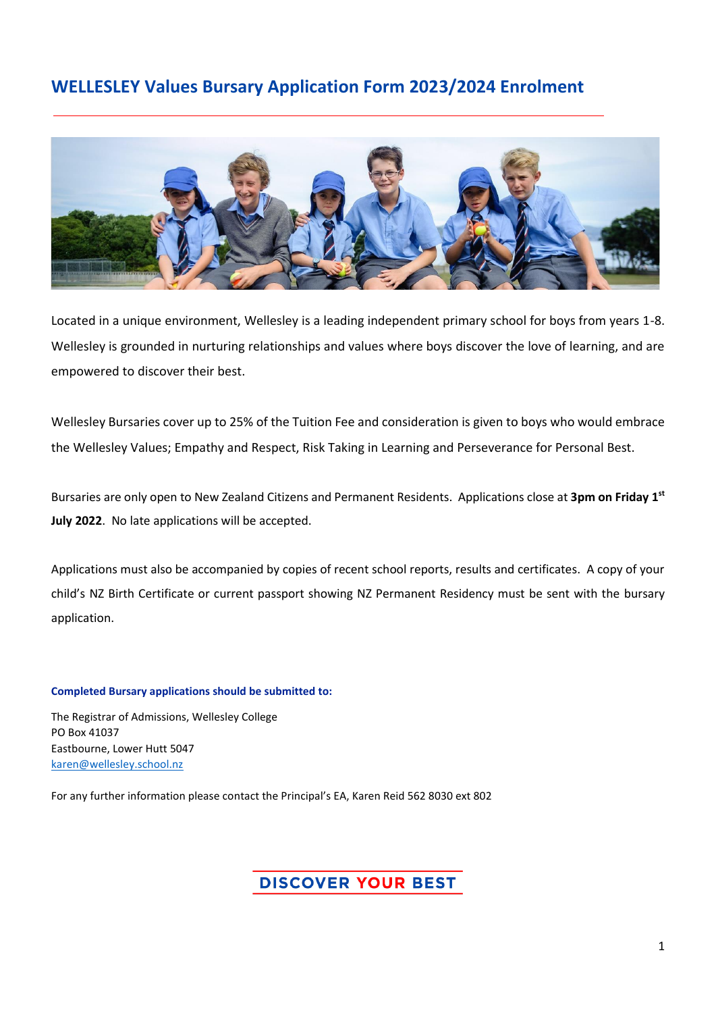## **Year 7/8 Scholarship Application Form WELLESLEY Values Bursary Application Form 2023/2024 Enrolment**



Located in a unique environment, Wellesley is a leading independent primary school for boys from years 1-8. Wellesley is grounded in nurturing relationships and values where boys discover the love of learning, and are empowered to discover their best.

Wellesley Bursaries cover up to 25% of the Tuition Fee and consideration is given to boys who would embrace the Wellesley Values; Empathy and Respect, Risk Taking in Learning and Perseverance for Personal Best.

Bursaries are only open to New Zealand Citizens and Permanent Residents. Applications close at **3pm on Friday 1 st July 2022**. No late applications will be accepted.

Applications must also be accompanied by copies of recent school reports, results and certificates. A copy of your child's NZ Birth Certificate or current passport showing NZ Permanent Residency must be sent with the bursary application.

**Completed Bursary applications should be submitted to:**

The Registrar of Admissions, Wellesley College PO Box 41037 Eastbourne, Lower Hutt 5047 [karen@wellesley.school.nz](mailto:karen@wellesley.school.nz)

For any further information please contact the Principal's EA, Karen Reid 562 8030 ext 802

### **DISCOVER YOUR BEST**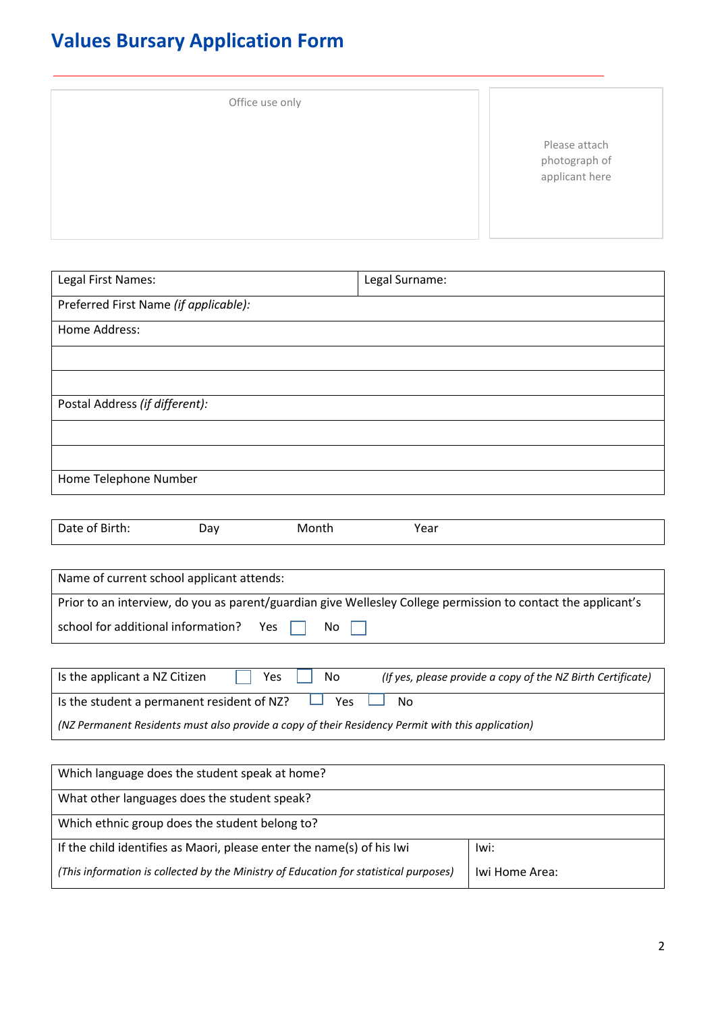# **Values Bursary Application Form**

| Office use only |                                                  |
|-----------------|--------------------------------------------------|
|                 | Please attach<br>photograph of<br>applicant here |

| Legal First Names:                                                                                            | Legal Surname:                                              |
|---------------------------------------------------------------------------------------------------------------|-------------------------------------------------------------|
| Preferred First Name (if applicable):                                                                         |                                                             |
| Home Address:                                                                                                 |                                                             |
|                                                                                                               |                                                             |
|                                                                                                               |                                                             |
| Postal Address (if different):                                                                                |                                                             |
|                                                                                                               |                                                             |
|                                                                                                               |                                                             |
| Home Telephone Number                                                                                         |                                                             |
|                                                                                                               |                                                             |
| Date of Birth:<br>Month<br>Day                                                                                | Year                                                        |
|                                                                                                               |                                                             |
| Name of current school applicant attends:                                                                     |                                                             |
| Prior to an interview, do you as parent/guardian give Wellesley College permission to contact the applicant's |                                                             |
| school for additional information?<br>Yes<br>No                                                               |                                                             |
|                                                                                                               |                                                             |
| Is the applicant a NZ Citizen<br>Yes<br>No                                                                    | (If yes, please provide a copy of the NZ Birth Certificate) |

Is the student a permanent resident of NZ?  $\Box$  Yes  $\Box$  No *(NZ Permanent Residents must also provide a copy of their Residency Permit with this application)*

| Which language does the student speak at home?                                        |                |  |
|---------------------------------------------------------------------------------------|----------------|--|
| What other languages does the student speak?                                          |                |  |
| Which ethnic group does the student belong to?                                        |                |  |
| If the child identifies as Maori, please enter the name(s) of his Iwi                 | Iwi:           |  |
| (This information is collected by the Ministry of Education for statistical purposes) | Iwi Home Area: |  |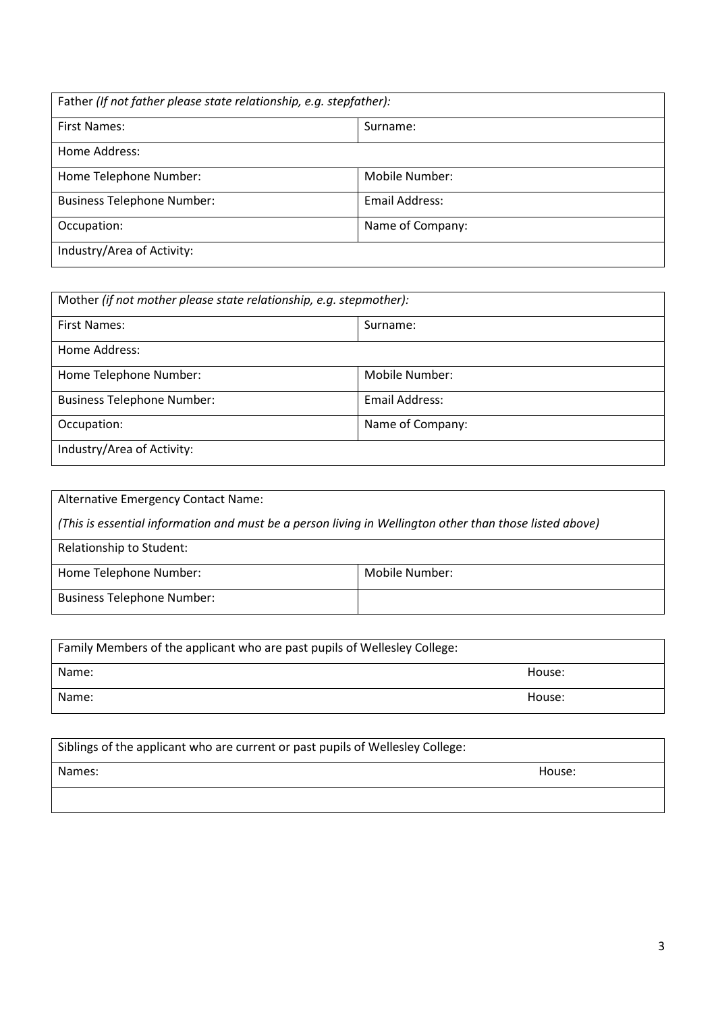| Father (If not father please state relationship, e.g. stepfather): |                  |  |
|--------------------------------------------------------------------|------------------|--|
| <b>First Names:</b>                                                | Surname:         |  |
| Home Address:                                                      |                  |  |
| Home Telephone Number:                                             | Mobile Number:   |  |
| <b>Business Telephone Number:</b>                                  | Email Address:   |  |
| Occupation:                                                        | Name of Company: |  |
| Industry/Area of Activity:                                         |                  |  |

| Mother (if not mother please state relationship, e.g. stepmother): |                  |  |
|--------------------------------------------------------------------|------------------|--|
| <b>First Names:</b>                                                | Surname:         |  |
| Home Address:                                                      |                  |  |
| Home Telephone Number:                                             | Mobile Number:   |  |
| <b>Business Telephone Number:</b>                                  | Email Address:   |  |
| Occupation:                                                        | Name of Company: |  |
| Industry/Area of Activity:                                         |                  |  |

| Alternative Emergency Contact Name:                                                                     |                |  |
|---------------------------------------------------------------------------------------------------------|----------------|--|
| (This is essential information and must be a person living in Wellington other than those listed above) |                |  |
| Relationship to Student:                                                                                |                |  |
| Home Telephone Number:                                                                                  | Mobile Number: |  |
| <b>Business Telephone Number:</b>                                                                       |                |  |

| Family Members of the applicant who are past pupils of Wellesley College: |        |
|---------------------------------------------------------------------------|--------|
| Name:                                                                     | House: |
| Name:                                                                     | House: |

| Siblings of the applicant who are current or past pupils of Wellesley College: |        |
|--------------------------------------------------------------------------------|--------|
| Names:                                                                         | House: |
|                                                                                |        |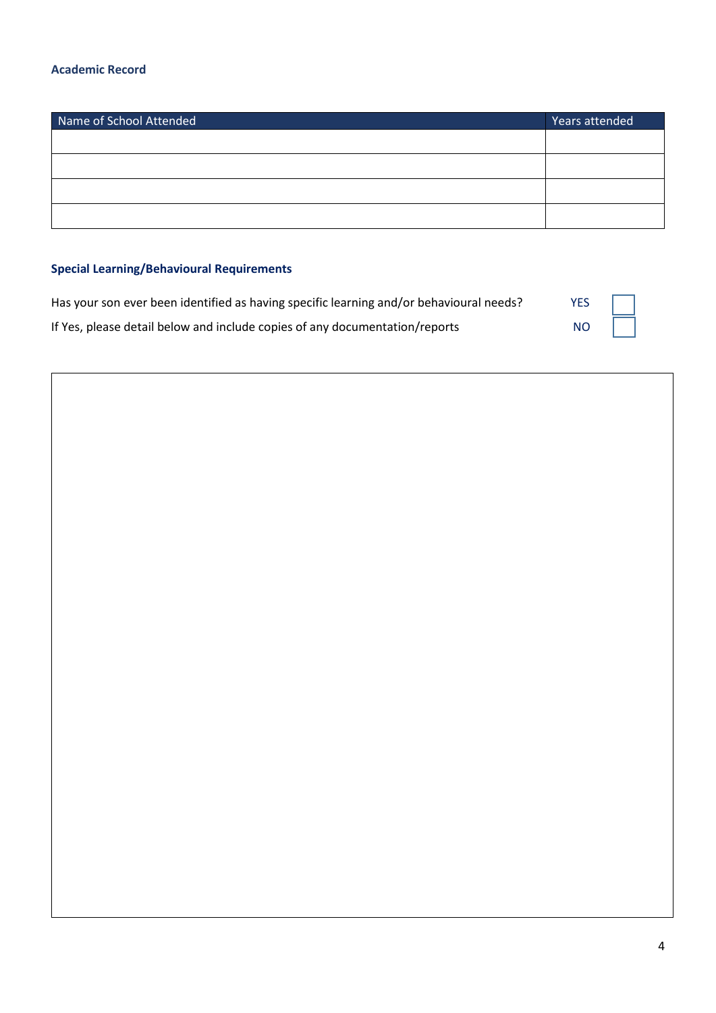#### **Academic Record**

| Name of School Attended | Years attended |
|-------------------------|----------------|
|                         |                |
|                         |                |
|                         |                |
|                         |                |

#### **Special Learning/Behavioural Requirements**

| Has your son ever been identified as having specific learning and/or behavioural needs? | YES $\vert \vert$ |  |
|-----------------------------------------------------------------------------------------|-------------------|--|
| If Yes, please detail below and include copies of any documentation/reports             | NO                |  |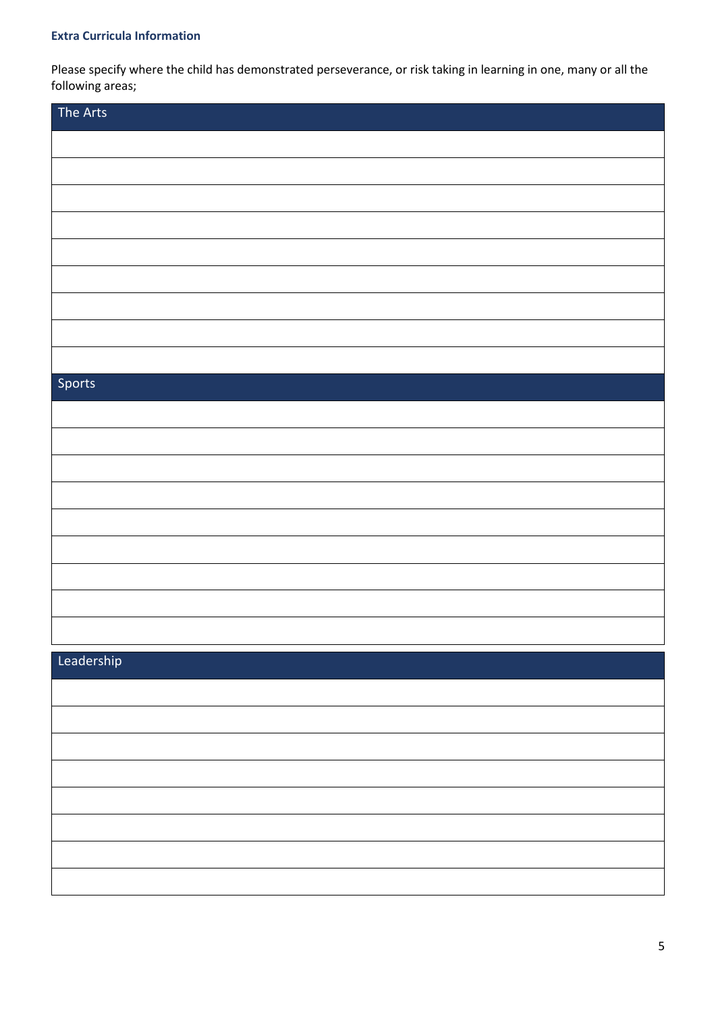#### **Extra Curricula Information**

Please specify where the child has demonstrated perseverance, or risk taking in learning in one, many or all the following areas;

| The Arts |  |
|----------|--|
|          |  |
|          |  |
|          |  |
|          |  |
|          |  |
|          |  |
|          |  |
|          |  |
|          |  |
| Sports   |  |
|          |  |
|          |  |
|          |  |
|          |  |
|          |  |
|          |  |
|          |  |
|          |  |
|          |  |

#### Leadership

| <u>---------</u>                                                                                                      |  |
|-----------------------------------------------------------------------------------------------------------------------|--|
| <u> 1989 - Jan Samuel Barbara, margaret amerikan basar dan berasal dalam berasal dalam berasal dalam berasal dala</u> |  |
| <u> 1989 - Johann Stoff, amerikansk politiker (d. 1989)</u>                                                           |  |
|                                                                                                                       |  |
| <u> 1989 - Johann Stoff, amerikansk politiker (d. 1989)</u>                                                           |  |
|                                                                                                                       |  |
| ,我们也不会有什么。""我们的人,我们也不会有什么?""我们的人,我们也不会有什么?""我们的人,我们也不会有什么?""我们的人,我们也不会有什么?""我们的人                                      |  |
|                                                                                                                       |  |
|                                                                                                                       |  |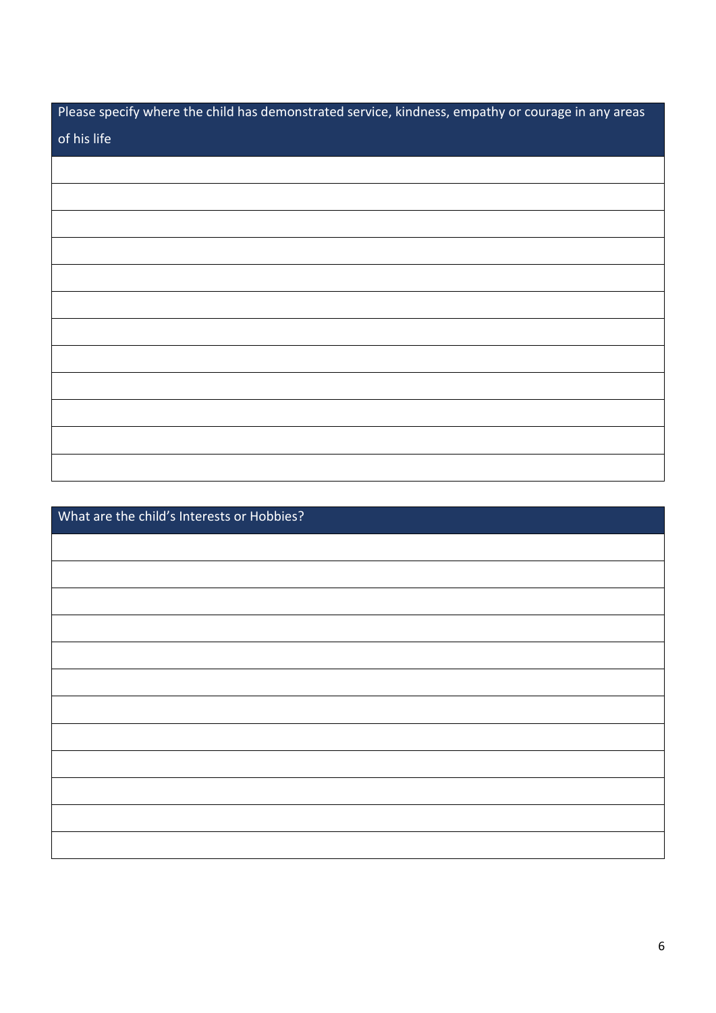| Please specify where the child has demonstrated service, kindness, empathy or courage in any areas |
|----------------------------------------------------------------------------------------------------|
| of his life                                                                                        |
|                                                                                                    |
|                                                                                                    |
|                                                                                                    |
|                                                                                                    |
|                                                                                                    |
|                                                                                                    |
|                                                                                                    |
|                                                                                                    |
|                                                                                                    |
|                                                                                                    |
|                                                                                                    |
|                                                                                                    |

| What are the child's Interests or Hobbies? |  |
|--------------------------------------------|--|
|                                            |  |
|                                            |  |
|                                            |  |
|                                            |  |
|                                            |  |
|                                            |  |
|                                            |  |
|                                            |  |
|                                            |  |
|                                            |  |
|                                            |  |
|                                            |  |